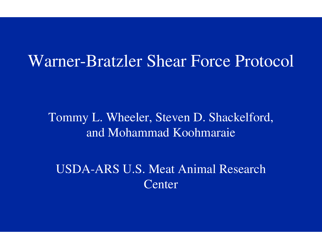#### Warner-Bratzler Shear Force Protocol

Tommy L. Wheeler, Steven D. Shackelford, and Mohammad Koohmaraie

USDA-ARS U.S. Meat Animal Research **Center**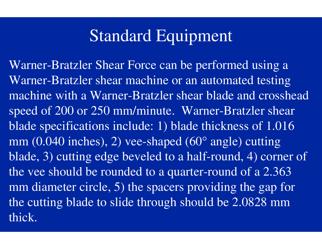# Standard Equipment

Warner-Bratzler Shear Force can be performed using a Warner-Bratzler shear machine or an automated testing machine with a Warner-Bratzler shear blade and crosshead speed of 200 or 250 mm/minute. Warner-Bratzler shear blade specifications include: 1) blade thickness of 1.016 mm (0.040 inches), 2) vee-shaped (60 ° angle) cutting blade, 3) cutting edge beveled to a half-round, 4) corner of the vee should be rounded to a quarter-round of a 2.363 mm diameter circle, 5) the spacers providing the gap for the cutting blade to slide through should be 2.0828 mm thick.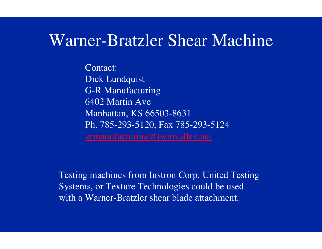### Warner-Bratzler Shear Machine

Contact: Dick Lundquist G-R Manufacturing 6402 Martin AveManhattan, KS 66503-8631 Ph. 785-293-5120, Fax 785-293-5124 grmanufacturing@twinvalley.net

Testing machines from Instron Corp, United Testing Systems, or Texture Technologies could be used with a Warner-Bratzler shear blade attachment.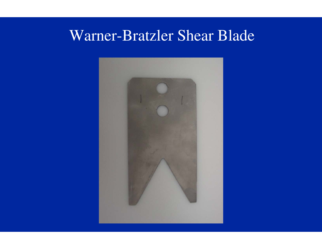#### Warner-Bratzler Shear Blade

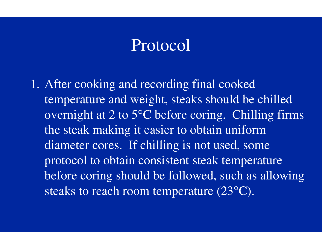1. After cooking and recording final cooked temperature and weight, steaks should be chilled overnight at 2 to 5°C before coring. Chilling firms the steak making it easier to obtain uniform diameter cores. If chilling is not used, some protocol to obtain consistent steak temperature before coring should be followed, such as allowing steaks to reach room temperature (23°C).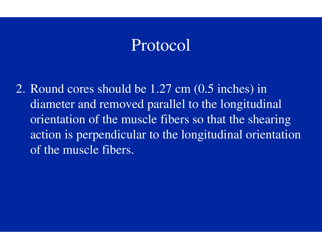2. Round cores should be 1.27 cm (0.5 inches) in diameter and removed parallel to the longitudinal orientation of the muscle fibers so that the shearing action is perpendicular to the longitudinal orientation of the muscle fibers.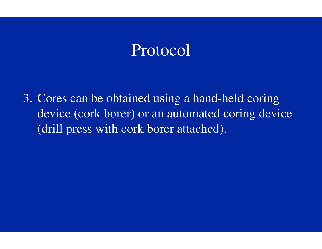3. Cores can be obtained using a hand-held coring device (cork borer) or an automated coring device (drill press with cork borer attached).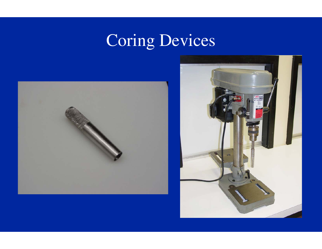# Coring Devices



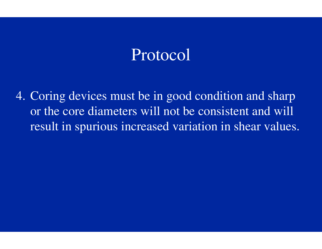4. Coring devices must be in good condition and sharp or the core diameters will not be consistent and will result in spurious increased variation in shear values.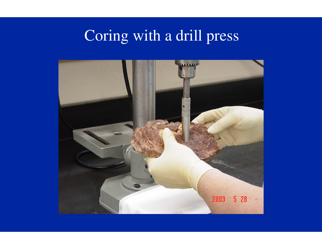# Coring with a drill press

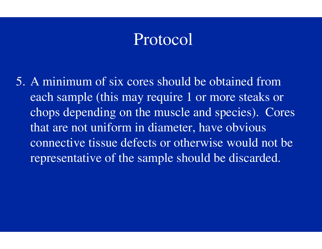5. A minimum of six cores should be obtained from each sample (this may require 1 or more steaks or chops depending on the muscle and species). Cores that are not uniform in diameter, have obvious connective tissue defects or otherwise would not be representative of the sample should be discarded.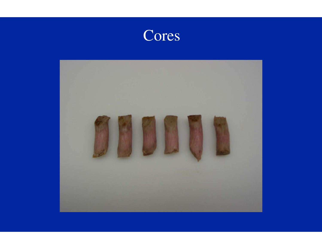

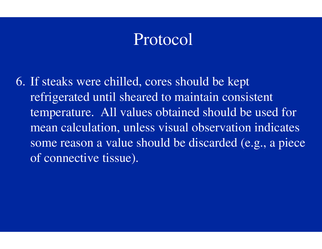6. If steaks were chilled, cores should be kept refrigerated until sheared to maintain consistent temperature. All values obtained should be used for mean calculation, unless visual observation indicates some reason a value should be discarded (e.g., a piece of connective tissue).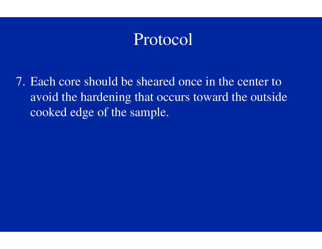7. Each core should be sheared once in the center to avoid the hardening that occurs toward the outside cooked edge of the sample.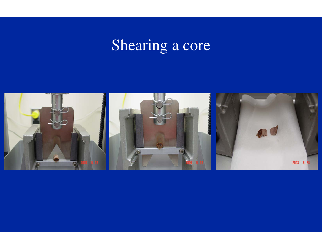# Shearing a core